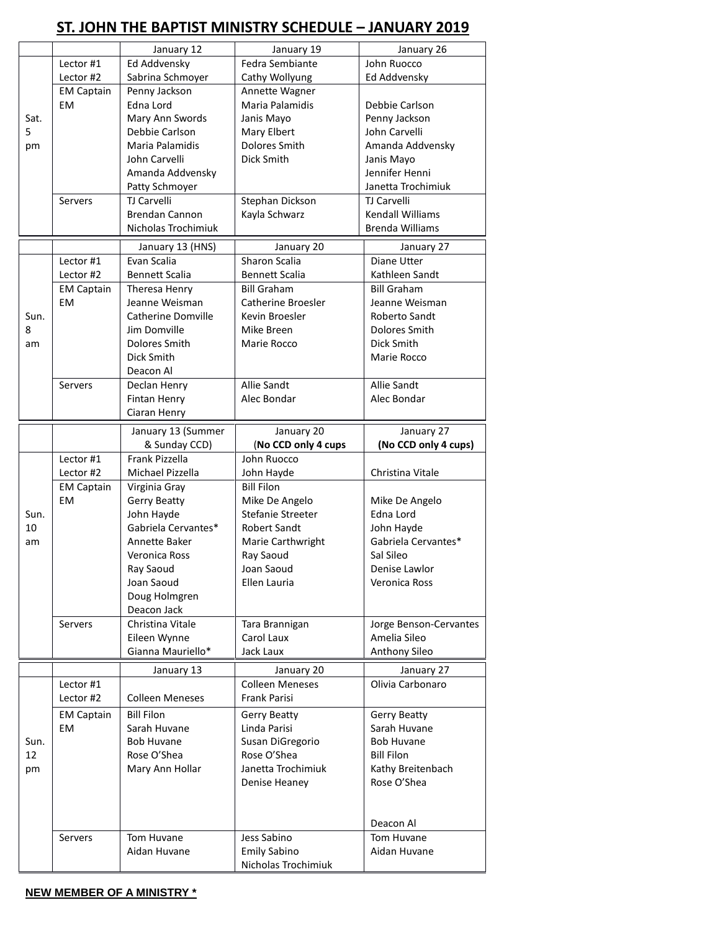## **ST. JOHN THE BAPTIST MINISTRY SCHEDULE – JANUARY 2019**

|      |                   | January 12                        | January 19                     | January 26                     |  |
|------|-------------------|-----------------------------------|--------------------------------|--------------------------------|--|
|      | Lector #1         | Ed Addvensky                      | Fedra Sembiante                | John Ruocco                    |  |
|      | Lector #2         | Sabrina Schmoyer                  | Cathy Wollyung                 | Ed Addvensky                   |  |
|      | <b>EM Captain</b> | Penny Jackson                     | Annette Wagner                 |                                |  |
|      | <b>EM</b>         | Edna Lord                         | Maria Palamidis                | Debbie Carlson                 |  |
| Sat. |                   |                                   |                                |                                |  |
| 5    |                   | Mary Ann Swords                   | Janis Mayo                     | Penny Jackson                  |  |
|      |                   | Debbie Carlson<br>Maria Palamidis | Mary Elbert<br>Dolores Smith   | John Carvelli                  |  |
| pm   |                   |                                   |                                | Amanda Addvensky               |  |
|      |                   | John Carvelli                     | Dick Smith                     | Janis Mayo                     |  |
|      |                   | Amanda Addvensky                  |                                | Jennifer Henni                 |  |
|      |                   | Patty Schmoyer                    |                                | Janetta Trochimiuk             |  |
|      | Servers           | TJ Carvelli                       | Stephan Dickson                | <b>TJ Carvelli</b>             |  |
|      |                   | <b>Brendan Cannon</b>             | Kayla Schwarz                  | <b>Kendall Williams</b>        |  |
|      |                   | Nicholas Trochimiuk               |                                | <b>Brenda Williams</b>         |  |
|      |                   | January 13 (HNS)                  | January 20                     | January 27                     |  |
|      | Lector #1         | Evan Scalia                       | Sharon Scalia                  | Diane Utter                    |  |
|      | Lector #2         | <b>Bennett Scalia</b>             | <b>Bennett Scalia</b>          | Kathleen Sandt                 |  |
|      | <b>EM Captain</b> | Theresa Henry                     | <b>Bill Graham</b>             | <b>Bill Graham</b>             |  |
|      | <b>EM</b>         | Jeanne Weisman                    | Catherine Broesler             | Jeanne Weisman                 |  |
| Sun. |                   | <b>Catherine Domville</b>         | Kevin Broesler                 | Roberto Sandt                  |  |
| 8    |                   | Jim Domville                      | Mike Breen                     | Dolores Smith                  |  |
| am   |                   | Dolores Smith                     | Marie Rocco                    | Dick Smith                     |  |
|      |                   | Dick Smith                        |                                | Marie Rocco                    |  |
|      |                   | Deacon Al                         |                                |                                |  |
|      | <b>Servers</b>    |                                   | <b>Allie Sandt</b>             | Allie Sandt                    |  |
|      |                   | Declan Henry                      |                                | Alec Bondar                    |  |
|      |                   | Fintan Henry                      | Alec Bondar                    |                                |  |
|      |                   | Ciaran Henry                      |                                |                                |  |
|      |                   | January 13 (Summer                | January 20                     | January 27                     |  |
|      |                   | & Sunday CCD)                     | (No CCD only 4 cups            | (No CCD only 4 cups)           |  |
|      | Lector #1         | Frank Pizzella                    | John Ruocco                    |                                |  |
|      |                   |                                   |                                |                                |  |
|      | Lector #2         | Michael Pizzella                  | John Hayde                     | Christina Vitale               |  |
|      | <b>EM Captain</b> | Virginia Gray                     | <b>Bill Filon</b>              |                                |  |
|      | EM                | <b>Gerry Beatty</b>               | Mike De Angelo                 | Mike De Angelo                 |  |
| Sun. |                   | John Hayde                        | Stefanie Streeter              | Edna Lord                      |  |
| 10   |                   | Gabriela Cervantes*               | <b>Robert Sandt</b>            | John Hayde                     |  |
| am   |                   | Annette Baker                     |                                | Gabriela Cervantes*            |  |
|      |                   | Veronica Ross                     | Marie Carthwright<br>Ray Saoud | Sal Sileo                      |  |
|      |                   |                                   |                                |                                |  |
|      |                   | Ray Saoud<br>Joan Saoud           | Joan Saoud<br>Ellen Lauria     | Denise Lawlor<br>Veronica Ross |  |
|      |                   |                                   |                                |                                |  |
|      |                   | Doug Holmgren<br>Deacon Jack      |                                |                                |  |
|      |                   | Christina Vitale                  |                                |                                |  |
|      | Servers           |                                   | Tara Brannigan                 | Jorge Benson-Cervantes         |  |
|      |                   | Eileen Wynne<br>Gianna Mauriello* | Carol Laux<br>Jack Laux        | Amelia Sileo                   |  |
|      |                   |                                   |                                | Anthony Sileo                  |  |
|      |                   | January 13                        | January 20                     | January 27                     |  |
|      | Lector #1         |                                   | <b>Colleen Meneses</b>         | Olivia Carbonaro               |  |
|      | Lector #2         | <b>Colleen Meneses</b>            | <b>Frank Parisi</b>            |                                |  |
|      | <b>EM Captain</b> | <b>Bill Filon</b>                 | Gerry Beatty                   | <b>Gerry Beatty</b>            |  |
|      | EM                | Sarah Huvane                      | Linda Parisi                   | Sarah Huvane                   |  |
| Sun. |                   | <b>Bob Huvane</b>                 | Susan DiGregorio               | <b>Bob Huvane</b>              |  |
| 12   |                   | Rose O'Shea                       | Rose O'Shea                    | <b>Bill Filon</b>              |  |
| pm   |                   | Mary Ann Hollar                   | Janetta Trochimiuk             | Kathy Breitenbach              |  |
|      |                   |                                   | Denise Heaney                  | Rose O'Shea                    |  |
|      |                   |                                   |                                |                                |  |
|      |                   |                                   |                                |                                |  |
|      |                   |                                   |                                | Deacon Al                      |  |
|      | Servers           | Tom Huvane                        | Jess Sabino                    | Tom Huvane                     |  |
|      |                   | Aidan Huvane                      | <b>Emily Sabino</b>            | Aidan Huvane                   |  |

## **NEW MEMBER OF A MINISTRY \***